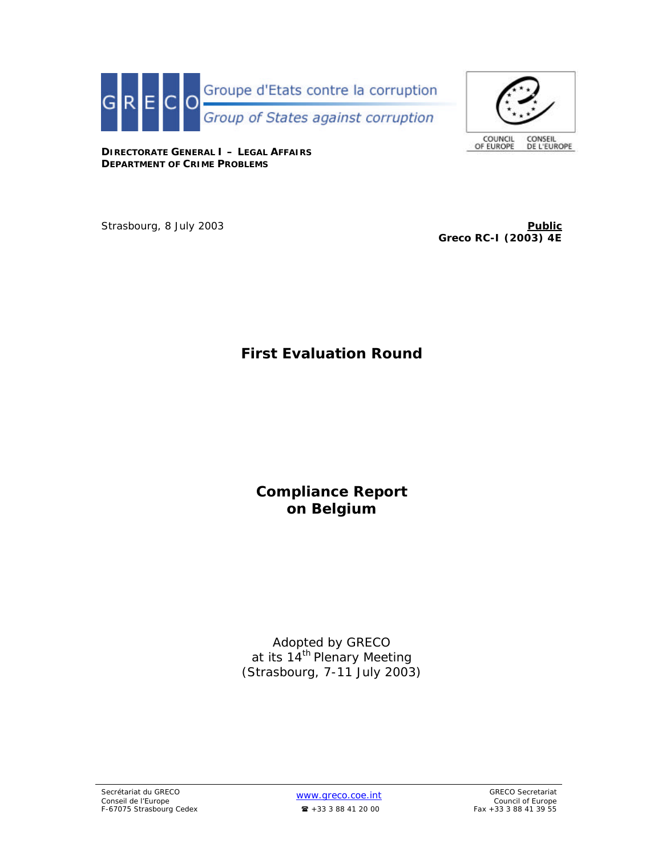



**DIRECTORATE GENERAL I – LEGAL AFFAIRS DEPARTMENT OF CRIME PROBLEMS**

Strasbourg, 8 July 2003 **Public** *Public* **Public Public Public Public Public Public Public Public** 

**Greco RC-I (2003) 4E**

# **First Evaluation Round**

**Compliance Report on Belgium**

Adopted by GRECO at its 14<sup>th</sup> Plenary Meeting (Strasbourg, 7-11 July 2003)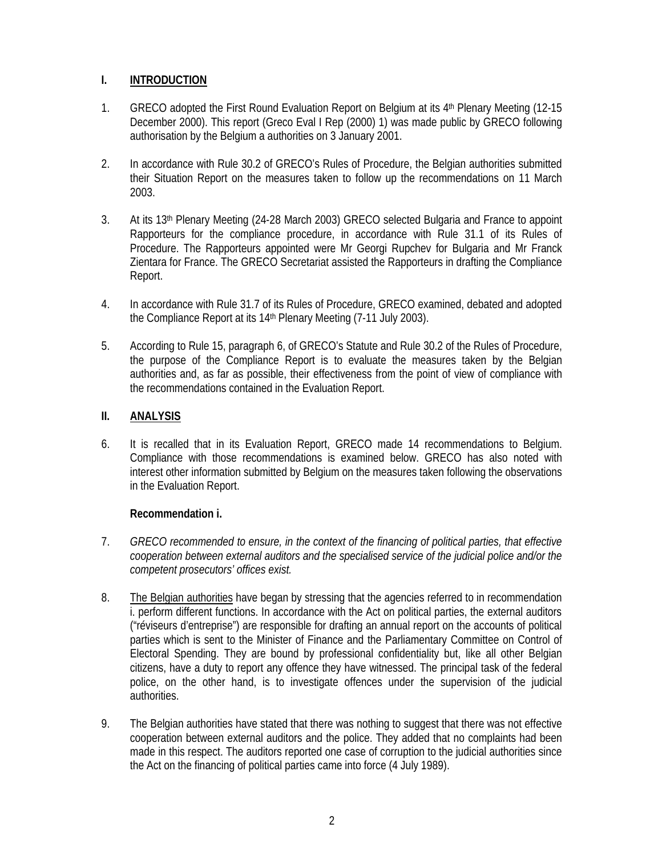## **I. INTRODUCTION**

- 1. GRECO adopted the First Round Evaluation Report on Belgium at its 4<sup>th</sup> Plenary Meeting (12-15 December 2000). This report (Greco Eval I Rep (2000) 1) was made public by GRECO following authorisation by the Belgium a authorities on 3 January 2001.
- 2. In accordance with Rule 30.2 of GRECO's Rules of Procedure, the Belgian authorities submitted their Situation Report on the measures taken to follow up the recommendations on 11 March 2003.
- 3. At its 13th Plenary Meeting (24-28 March 2003) GRECO selected Bulgaria and France to appoint Rapporteurs for the compliance procedure, in accordance with Rule 31.1 of its Rules of Procedure. The Rapporteurs appointed were Mr Georgi Rupchev for Bulgaria and Mr Franck Zientara for France. The GRECO Secretariat assisted the Rapporteurs in drafting the Compliance Report.
- 4. In accordance with Rule 31.7 of its Rules of Procedure, GRECO examined, debated and adopted the Compliance Report at its 14th Plenary Meeting (7-11 July 2003).
- 5. According to Rule 15, paragraph 6, of GRECO's Statute and Rule 30.2 of the Rules of Procedure, the purpose of the Compliance Report is to evaluate the measures taken by the Belgian authorities and, as far as possible, their effectiveness from the point of view of compliance with the recommendations contained in the Evaluation Report.

# **II. ANALYSIS**

6. It is recalled that in its Evaluation Report, GRECO made 14 recommendations to Belgium. Compliance with those recommendations is examined below. GRECO has also noted with interest other information submitted by Belgium on the measures taken following the observations in the Evaluation Report.

## **Recommendation i.**

- 7. *GRECO recommended to ensure, in the context of the financing of political parties, that effective cooperation between external auditors and the specialised service of the judicial police and/or the competent prosecutors' offices exist.*
- 8. The Belgian authorities have began by stressing that the agencies referred to in recommendation i. perform different functions. In accordance with the Act on political parties, the external auditors ("réviseurs d'entreprise") are responsible for drafting an annual report on the accounts of political parties which is sent to the Minister of Finance and the Parliamentary Committee on Control of Electoral Spending. They are bound by professional confidentiality but, like all other Belgian citizens, have a duty to report any offence they have witnessed. The principal task of the federal police, on the other hand, is to investigate offences under the supervision of the judicial authorities.
- 9. The Belgian authorities have stated that there was nothing to suggest that there was not effective cooperation between external auditors and the police. They added that no complaints had been made in this respect. The auditors reported one case of corruption to the judicial authorities since the Act on the financing of political parties came into force (4 July 1989).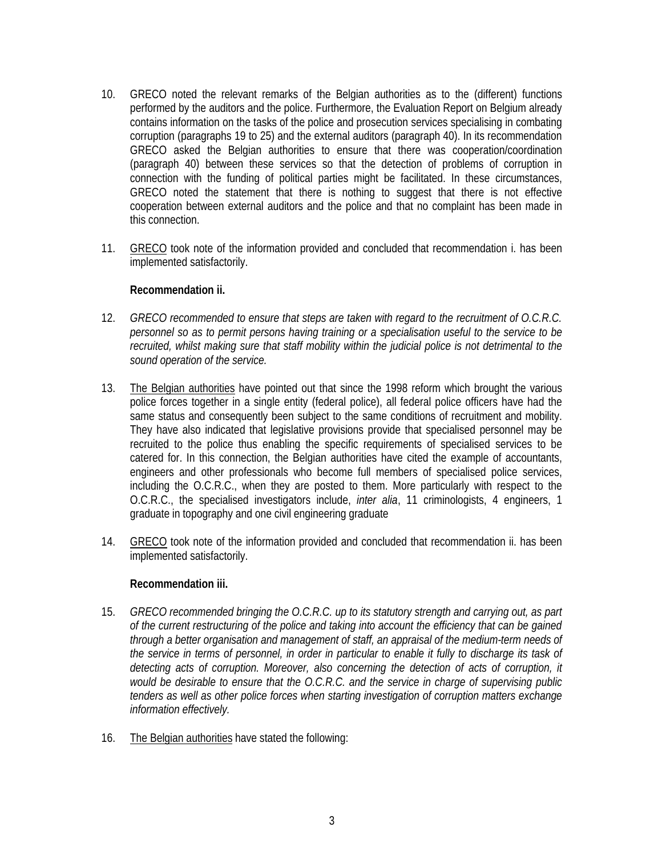- 10. GRECO noted the relevant remarks of the Belgian authorities as to the (different) functions performed by the auditors and the police. Furthermore, the Evaluation Report on Belgium already contains information on the tasks of the police and prosecution services specialising in combating corruption (paragraphs 19 to 25) and the external auditors (paragraph 40). In its recommendation GRECO asked the Belgian authorities to ensure that there was cooperation/coordination (paragraph 40) between these services so that the detection of problems of corruption in connection with the funding of political parties might be facilitated. In these circumstances, GRECO noted the statement that there is nothing to suggest that there is not effective cooperation between external auditors and the police and that no complaint has been made in this connection.
- 11. GRECO took note of the information provided and concluded that recommendation i. has been implemented satisfactorily.

#### **Recommendation ii.**

- 12. *GRECO recommended to ensure that steps are taken with regard to the recruitment of O.C.R.C. personnel so as to permit persons having training or a specialisation useful to the service to be recruited, whilst making sure that staff mobility within the judicial police is not detrimental to the sound operation of the service.*
- 13. The Belgian authorities have pointed out that since the 1998 reform which brought the various police forces together in a single entity (federal police), all federal police officers have had the same status and consequently been subject to the same conditions of recruitment and mobility. They have also indicated that legislative provisions provide that specialised personnel may be recruited to the police thus enabling the specific requirements of specialised services to be catered for. In this connection, the Belgian authorities have cited the example of accountants, engineers and other professionals who become full members of specialised police services, including the O.C.R.C., when they are posted to them. More particularly with respect to the O.C.R.C., the specialised investigators include, *inter alia*, 11 criminologists, 4 engineers, 1 graduate in topography and one civil engineering graduate
- 14. GRECO took note of the information provided and concluded that recommendation ii. has been implemented satisfactorily.

## **Recommendation iii.**

- 15. *GRECO recommended bringing the O.C.R.C. up to its statutory strength and carrying out, as part of the current restructuring of the police and taking into account the efficiency that can be gained through a better organisation and management of staff, an appraisal of the medium-term needs of the service in terms of personnel, in order in particular to enable it fully to discharge its task of detecting acts of corruption. Moreover, also concerning the detection of acts of corruption, it would be desirable to ensure that the O.C.R.C. and the service in charge of supervising public tenders as well as other police forces when starting investigation of corruption matters exchange information effectively.*
- 16. The Belgian authorities have stated the following: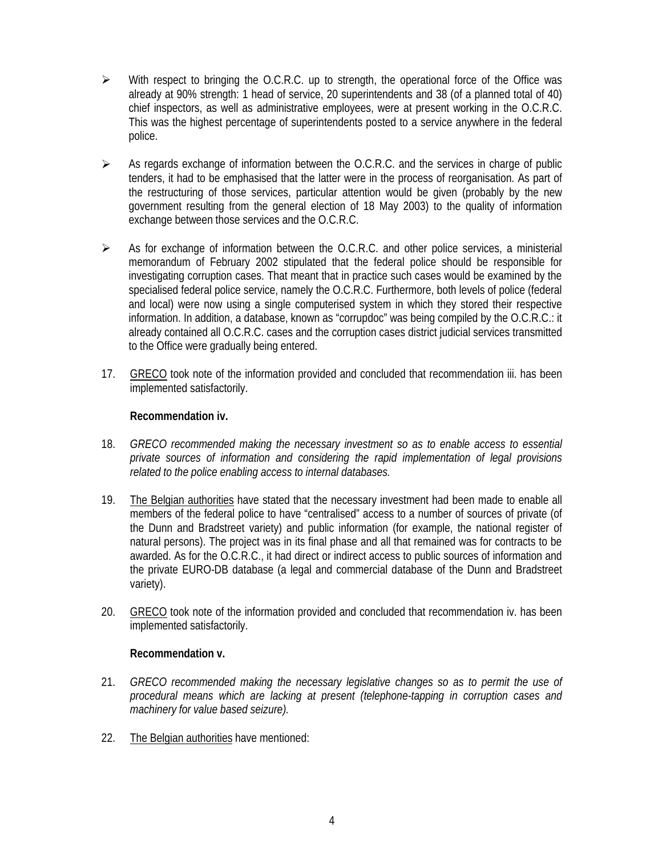- $\triangleright$  With respect to bringing the O.C.R.C. up to strength, the operational force of the Office was already at 90% strength: 1 head of service, 20 superintendents and 38 (of a planned total of 40) chief inspectors, as well as administrative employees, were at present working in the O.C.R.C. This was the highest percentage of superintendents posted to a service anywhere in the federal police.
- $\triangleright$  As regards exchange of information between the O.C.R.C. and the services in charge of public tenders, it had to be emphasised that the latter were in the process of reorganisation. As part of the restructuring of those services, particular attention would be given (probably by the new government resulting from the general election of 18 May 2003) to the quality of information exchange between those services and the O.C.R.C.
- $\triangleright$  As for exchange of information between the O.C.R.C. and other police services, a ministerial memorandum of February 2002 stipulated that the federal police should be responsible for investigating corruption cases. That meant that in practice such cases would be examined by the specialised federal police service, namely the O.C.R.C. Furthermore, both levels of police (federal and local) were now using a single computerised system in which they stored their respective information. In addition, a database, known as "corrupdoc" was being compiled by the O.C.R.C.: it already contained all O.C.R.C. cases and the corruption cases district judicial services transmitted to the Office were gradually being entered.
- 17. GRECO took note of the information provided and concluded that recommendation iii. has been implemented satisfactorily.

## **Recommendation iv.**

- 18. *GRECO recommended making the necessary investment so as to enable access to essential private sources of information and considering the rapid implementation of legal provisions related to the police enabling access to internal databases.*
- 19. The Belgian authorities have stated that the necessary investment had been made to enable all members of the federal police to have "centralised" access to a number of sources of private (of the Dunn and Bradstreet variety) and public information (for example, the national register of natural persons). The project was in its final phase and all that remained was for contracts to be awarded. As for the O.C.R.C., it had direct or indirect access to public sources of information and the private EURO-DB database (a legal and commercial database of the Dunn and Bradstreet variety).
- 20. GRECO took note of the information provided and concluded that recommendation iv. has been implemented satisfactorily.

## **Recommendation v.**

- 21. *GRECO recommended making the necessary legislative changes so as to permit the use of procedural means which are lacking at present (telephone-tapping in corruption cases and machinery for value based seizure).*
- 22. The Belgian authorities have mentioned: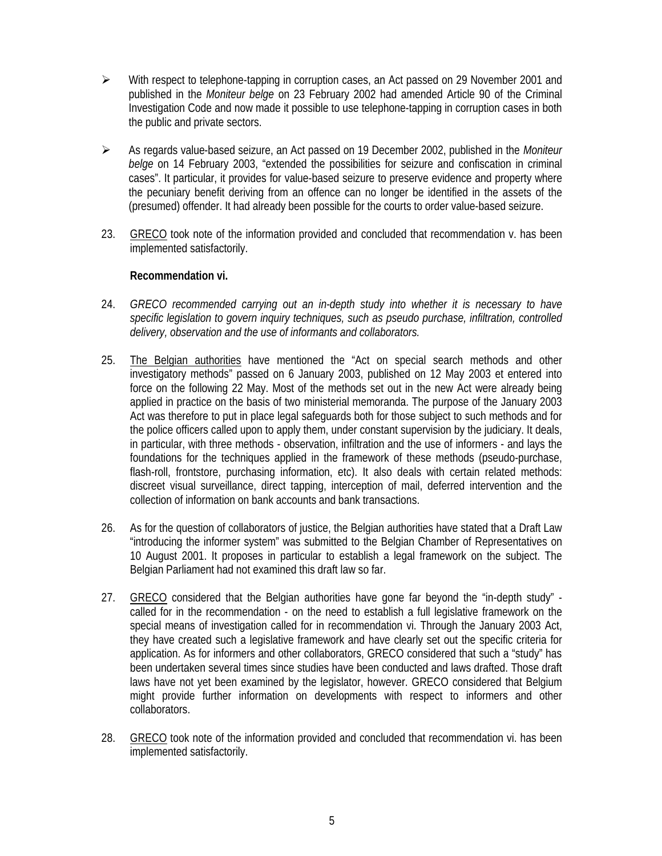- $\triangleright$  With respect to telephone-tapping in corruption cases, an Act passed on 29 November 2001 and published in the *Moniteur belge* on 23 February 2002 had amended Article 90 of the Criminal Investigation Code and now made it possible to use telephone-tapping in corruption cases in both the public and private sectors.
- ÿ As regards value-based seizure, an Act passed on 19 December 2002, published in the *Moniteur belge* on 14 February 2003, "extended the possibilities for seizure and confiscation in criminal cases". It particular, it provides for value-based seizure to preserve evidence and property where the pecuniary benefit deriving from an offence can no longer be identified in the assets of the (presumed) offender. It had already been possible for the courts to order value-based seizure.
- 23. GRECO took note of the information provided and concluded that recommendation v. has been implemented satisfactorily.

## **Recommendation vi.**

- 24. *GRECO recommended carrying out an in-depth study into whether it is necessary to have specific legislation to govern inquiry techniques, such as pseudo purchase, infiltration, controlled delivery, observation and the use of informants and collaborators.*
- 25. The Belgian authorities have mentioned the "Act on special search methods and other investigatory methods" passed on 6 January 2003, published on 12 May 2003 et entered into force on the following 22 May. Most of the methods set out in the new Act were already being applied in practice on the basis of two ministerial memoranda. The purpose of the January 2003 Act was therefore to put in place legal safeguards both for those subject to such methods and for the police officers called upon to apply them, under constant supervision by the judiciary. It deals, in particular, with three methods - observation, infiltration and the use of informers - and lays the foundations for the techniques applied in the framework of these methods (pseudo-purchase, flash-roll, frontstore, purchasing information, etc). It also deals with certain related methods: discreet visual surveillance, direct tapping, interception of mail, deferred intervention and the collection of information on bank accounts and bank transactions.
- 26. As for the question of collaborators of justice, the Belgian authorities have stated that a Draft Law "introducing the informer system" was submitted to the Belgian Chamber of Representatives on 10 August 2001. It proposes in particular to establish a legal framework on the subject. The Belgian Parliament had not examined this draft law so far.
- 27. GRECO considered that the Belgian authorities have gone far beyond the "in-depth study" called for in the recommendation - on the need to establish a full legislative framework on the special means of investigation called for in recommendation vi. Through the January 2003 Act, they have created such a legislative framework and have clearly set out the specific criteria for application. As for informers and other collaborators, GRECO considered that such a "study" has been undertaken several times since studies have been conducted and laws drafted. Those draft laws have not yet been examined by the legislator, however. GRECO considered that Belgium might provide further information on developments with respect to informers and other collaborators.
- 28. GRECO took note of the information provided and concluded that recommendation vi. has been implemented satisfactorily.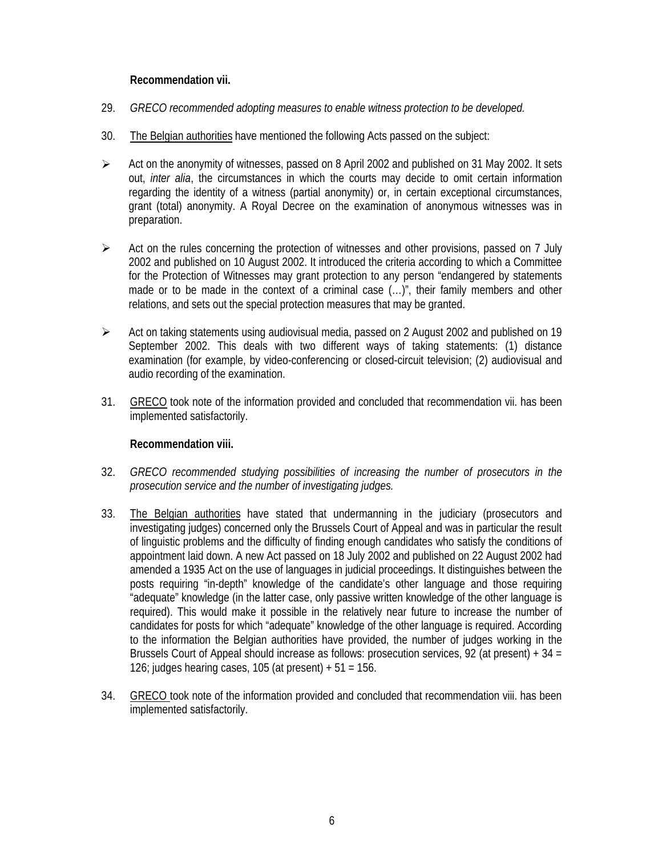## **Recommendation vii.**

- 29. *GRECO recommended adopting measures to enable witness protection to be developed.*
- 30. The Belgian authorities have mentioned the following Acts passed on the subject:
- $\triangleright$  Act on the anonymity of witnesses, passed on 8 April 2002 and published on 31 May 2002. It sets out, *inter alia*, the circumstances in which the courts may decide to omit certain information regarding the identity of a witness (partial anonymity) or, in certain exceptional circumstances, grant (total) anonymity. A Royal Decree on the examination of anonymous witnesses was in preparation.
- $\triangleright$  Act on the rules concerning the protection of witnesses and other provisions, passed on 7 July 2002 and published on 10 August 2002. It introduced the criteria according to which a Committee for the Protection of Witnesses may grant protection to any person "endangered by statements made or to be made in the context of a criminal case (…)", their family members and other relations, and sets out the special protection measures that may be granted.
- $\triangleright$  Act on taking statements using audiovisual media, passed on 2 August 2002 and published on 19 September 2002. This deals with two different ways of taking statements: (1) distance examination (for example, by video-conferencing or closed-circuit television; (2) audiovisual and audio recording of the examination.
- 31. GRECO took note of the information provided and concluded that recommendation vii. has been implemented satisfactorily.

## **Recommendation viii.**

- 32. *GRECO recommended studying possibilities of increasing the number of prosecutors in the prosecution service and the number of investigating judges.*
- 33. The Belgian authorities have stated that undermanning in the judiciary (prosecutors and investigating judges) concerned only the Brussels Court of Appeal and was in particular the result of linguistic problems and the difficulty of finding enough candidates who satisfy the conditions of appointment laid down. A new Act passed on 18 July 2002 and published on 22 August 2002 had amended a 1935 Act on the use of languages in judicial proceedings. It distinguishes between the posts requiring "in-depth" knowledge of the candidate's other language and those requiring "adequate" knowledge (in the latter case, only passive written knowledge of the other language is required). This would make it possible in the relatively near future to increase the number of candidates for posts for which "adequate" knowledge of the other language is required. According to the information the Belgian authorities have provided, the number of judges working in the Brussels Court of Appeal should increase as follows: prosecution services, 92 (at present) + 34 = 126; judges hearing cases, 105 (at present)  $+51 = 156$ .
- 34. GRECO took note of the information provided and concluded that recommendation viii. has been implemented satisfactorily.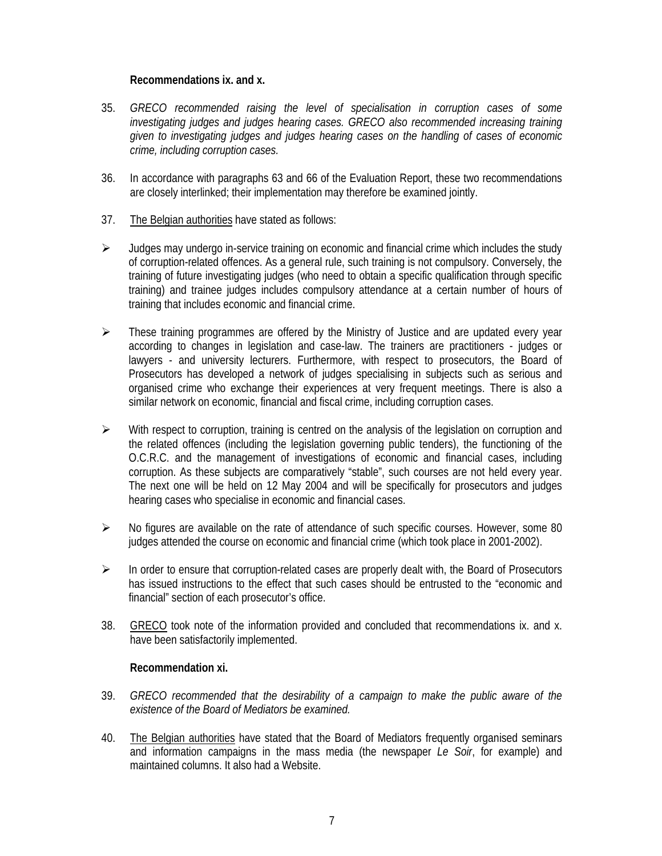#### **Recommendations ix. and x.**

- 35. *GRECO recommended raising the level of specialisation in corruption cases of some investigating judges and judges hearing cases. GRECO also recommended increasing training given to investigating judges and judges hearing cases on the handling of cases of economic crime, including corruption cases.*
- 36. In accordance with paragraphs 63 and 66 of the Evaluation Report, these two recommendations are closely interlinked; their implementation may therefore be examined jointly.
- 37. The Belgian authorities have stated as follows:
- $\triangleright$  Judges may undergo in-service training on economic and financial crime which includes the study of corruption-related offences. As a general rule, such training is not compulsory. Conversely, the training of future investigating judges (who need to obtain a specific qualification through specific training) and trainee judges includes compulsory attendance at a certain number of hours of training that includes economic and financial crime.
- $\triangleright$  These training programmes are offered by the Ministry of Justice and are updated every year according to changes in legislation and case-law. The trainers are practitioners - judges or lawyers - and university lecturers. Furthermore, with respect to prosecutors, the Board of Prosecutors has developed a network of judges specialising in subjects such as serious and organised crime who exchange their experiences at very frequent meetings. There is also a similar network on economic, financial and fiscal crime, including corruption cases.
- $\triangleright$  With respect to corruption, training is centred on the analysis of the legislation on corruption and the related offences (including the legislation governing public tenders), the functioning of the O.C.R.C. and the management of investigations of economic and financial cases, including corruption. As these subjects are comparatively "stable", such courses are not held every year. The next one will be held on 12 May 2004 and will be specifically for prosecutors and judges hearing cases who specialise in economic and financial cases.
- $\triangleright$  No figures are available on the rate of attendance of such specific courses. However, some 80 judges attended the course on economic and financial crime (which took place in 2001-2002).
- $\triangleright$  In order to ensure that corruption-related cases are properly dealt with, the Board of Prosecutors has issued instructions to the effect that such cases should be entrusted to the "economic and financial" section of each prosecutor's office.
- 38. GRECO took note of the information provided and concluded that recommendations ix. and x. have been satisfactorily implemented.

## **Recommendation xi.**

- 39. *GRECO recommended that the desirability of a campaign to make the public aware of the existence of the Board of Mediators be examined.*
- 40. The Belgian authorities have stated that the Board of Mediators frequently organised seminars and information campaigns in the mass media (the newspaper *Le Soir*, for example) and maintained columns. It also had a Website.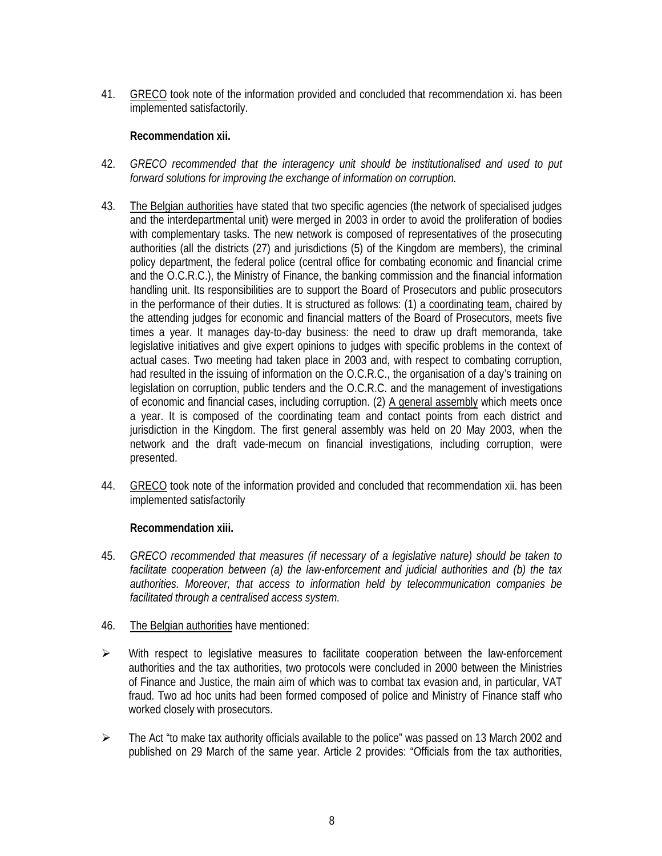41. GRECO took note of the information provided and concluded that recommendation xi. has been implemented satisfactorily.

## **Recommendation xii.**

- 42. *GRECO recommended that the interagency unit should be institutionalised and used to put forward solutions for improving the exchange of information on corruption.*
- 43. The Belgian authorities have stated that two specific agencies (the network of specialised judges and the interdepartmental unit) were merged in 2003 in order to avoid the proliferation of bodies with complementary tasks. The new network is composed of representatives of the prosecuting authorities (all the districts (27) and jurisdictions (5) of the Kingdom are members), the criminal policy department, the federal police (central office for combating economic and financial crime and the O.C.R.C.), the Ministry of Finance, the banking commission and the financial information handling unit. Its responsibilities are to support the Board of Prosecutors and public prosecutors in the performance of their duties. It is structured as follows: (1) a coordinating team, chaired by the attending judges for economic and financial matters of the Board of Prosecutors, meets five times a year. It manages day-to-day business: the need to draw up draft memoranda, take legislative initiatives and give expert opinions to judges with specific problems in the context of actual cases. Two meeting had taken place in 2003 and, with respect to combating corruption, had resulted in the issuing of information on the O.C.R.C., the organisation of a day's training on legislation on corruption, public tenders and the O.C.R.C. and the management of investigations of economic and financial cases, including corruption. (2) A general assembly which meets once a year. It is composed of the coordinating team and contact points from each district and jurisdiction in the Kingdom. The first general assembly was held on 20 May 2003, when the network and the draft vade-mecum on financial investigations, including corruption, were presented.
- 44. GRECO took note of the information provided and concluded that recommendation xii. has been implemented satisfactorily

## **Recommendation xiii.**

- 45. *GRECO recommended that measures (if necessary of a legislative nature) should be taken to facilitate cooperation between (a) the law-enforcement and judicial authorities and (b) the tax authorities. Moreover, that access to information held by telecommunication companies be facilitated through a centralised access system.*
- 46. The Belgian authorities have mentioned:
- $\triangleright$  With respect to legislative measures to facilitate cooperation between the law-enforcement authorities and the tax authorities, two protocols were concluded in 2000 between the Ministries of Finance and Justice, the main aim of which was to combat tax evasion and, in particular, VAT fraud. Two ad hoc units had been formed composed of police and Ministry of Finance staff who worked closely with prosecutors.
- $\triangleright$  The Act "to make tax authority officials available to the police" was passed on 13 March 2002 and published on 29 March of the same year. Article 2 provides: "Officials from the tax authorities,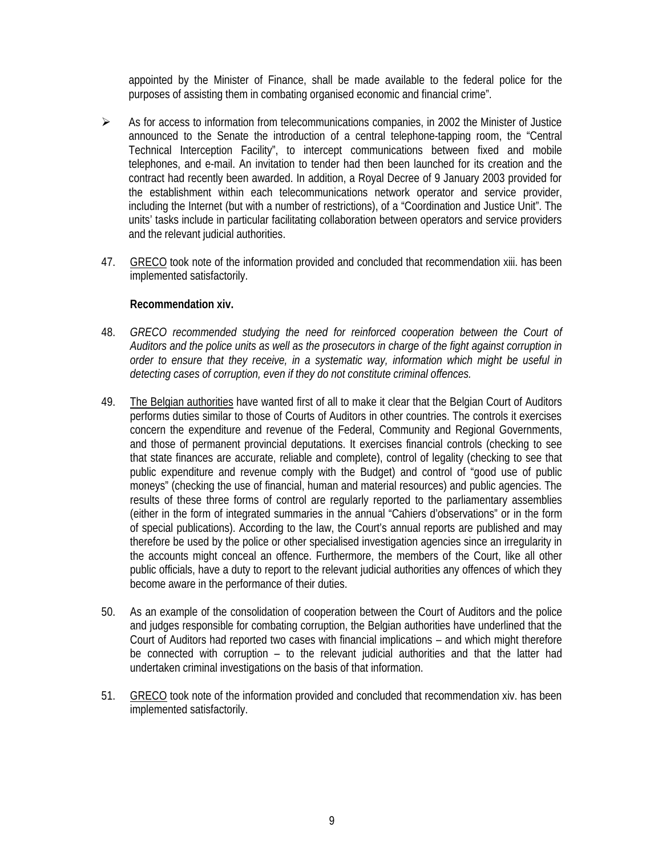appointed by the Minister of Finance, shall be made available to the federal police for the purposes of assisting them in combating organised economic and financial crime".

- $\triangleright$  As for access to information from telecommunications companies, in 2002 the Minister of Justice announced to the Senate the introduction of a central telephone-tapping room, the "Central Technical Interception Facility", to intercept communications between fixed and mobile telephones, and e-mail. An invitation to tender had then been launched for its creation and the contract had recently been awarded. In addition, a Royal Decree of 9 January 2003 provided for the establishment within each telecommunications network operator and service provider, including the Internet (but with a number of restrictions), of a "Coordination and Justice Unit". The units' tasks include in particular facilitating collaboration between operators and service providers and the relevant judicial authorities.
- 47. GRECO took note of the information provided and concluded that recommendation xiii. has been implemented satisfactorily.

#### **Recommendation xiv.**

- 48. *GRECO recommended studying the need for reinforced cooperation between the Court of Auditors and the police units as well as the prosecutors in charge of the fight against corruption in order to ensure that they receive, in a systematic way, information which might be useful in detecting cases of corruption, even if they do not constitute criminal offences.*
- 49. The Belgian authorities have wanted first of all to make it clear that the Belgian Court of Auditors performs duties similar to those of Courts of Auditors in other countries. The controls it exercises concern the expenditure and revenue of the Federal, Community and Regional Governments, and those of permanent provincial deputations. It exercises financial controls (checking to see that state finances are accurate, reliable and complete), control of legality (checking to see that public expenditure and revenue comply with the Budget) and control of "good use of public moneys" (checking the use of financial, human and material resources) and public agencies. The results of these three forms of control are regularly reported to the parliamentary assemblies (either in the form of integrated summaries in the annual "Cahiers d'observations" or in the form of special publications). According to the law, the Court's annual reports are published and may therefore be used by the police or other specialised investigation agencies since an irregularity in the accounts might conceal an offence. Furthermore, the members of the Court, like all other public officials, have a duty to report to the relevant judicial authorities any offences of which they become aware in the performance of their duties.
- 50. As an example of the consolidation of cooperation between the Court of Auditors and the police and judges responsible for combating corruption, the Belgian authorities have underlined that the Court of Auditors had reported two cases with financial implications – and which might therefore be connected with corruption – to the relevant judicial authorities and that the latter had undertaken criminal investigations on the basis of that information.
- 51. GRECO took note of the information provided and concluded that recommendation xiv. has been implemented satisfactorily.